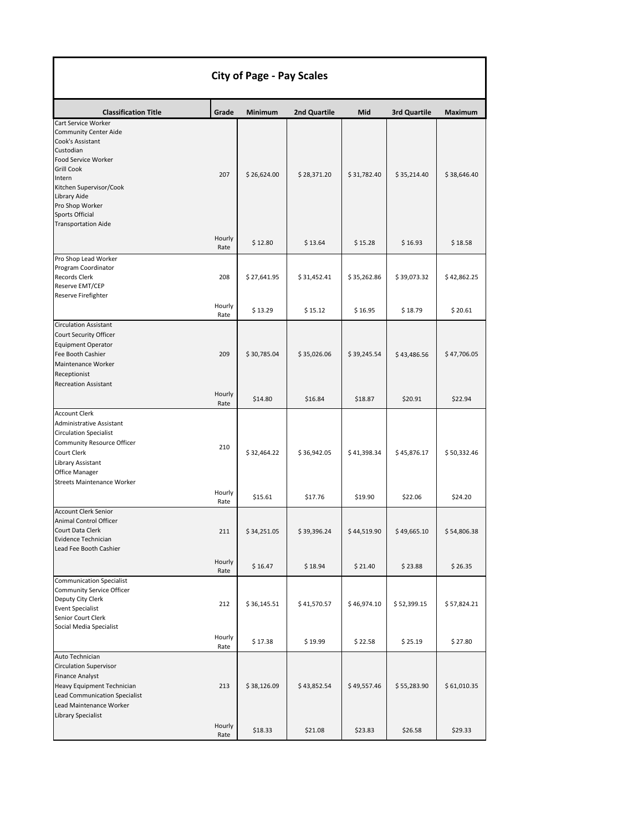|                                                                                                                                                                                                                                                           |                       | <b>City of Page - Pay Scales</b> |                        |                        |                        |                        |
|-----------------------------------------------------------------------------------------------------------------------------------------------------------------------------------------------------------------------------------------------------------|-----------------------|----------------------------------|------------------------|------------------------|------------------------|------------------------|
| <b>Classification Title</b>                                                                                                                                                                                                                               | Grade                 | Minimum                          | 2nd Quartile           | Mid                    | 3rd Quartile           | Maximum                |
| Cart Service Worker<br><b>Community Center Aide</b><br>Cook's Assistant<br>Custodian<br>Food Service Worker<br><b>Grill Cook</b><br>Intern<br>Kitchen Supervisor/Cook<br>Library Aide<br>Pro Shop Worker<br>Sports Official<br><b>Transportation Aide</b> | 207                   | \$26,624.00                      | \$28,371.20            | \$31,782.40            | \$35,214.40            | \$38,646.40            |
|                                                                                                                                                                                                                                                           | Hourly<br>Rate        | \$12.80                          | \$13.64                | \$15.28                | \$16.93                | \$18.58                |
| Pro Shop Lead Worker<br>Program Coordinator<br><b>Records Clerk</b><br>Reserve EMT/CEP<br>Reserve Firefighter                                                                                                                                             | 208                   | \$27,641.95                      | \$31,452.41            | \$35,262.86            | \$39,073.32            | \$42,862.25            |
|                                                                                                                                                                                                                                                           | Hourly<br>Rate        | \$13.29                          | \$15.12                | \$16.95                | \$18.79                | \$20.61                |
| <b>Circulation Assistant</b><br>Court Security Officer<br><b>Equipment Operator</b><br>Fee Booth Cashier<br>Maintenance Worker<br>Receptionist                                                                                                            | 209                   | \$30,785.04                      | \$35,026.06            | \$39,245.54            | \$43,486.56            | \$47,706.05            |
| <b>Recreation Assistant</b>                                                                                                                                                                                                                               | Hourly<br>Rate        | \$14.80                          | \$16.84                | \$18.87                | \$20.91                | \$22.94                |
| <b>Account Clerk</b><br><b>Administrative Assistant</b><br><b>Circulation Specialist</b><br>Community Resource Officer<br>Court Clerk<br>Library Assistant<br>Office Manager<br><b>Streets Maintenance Worker</b>                                         | 210<br>Hourly<br>Rate | \$32,464.22<br>\$15.61           | \$36,942.05<br>\$17.76 | \$41,398.34<br>\$19.90 | \$45,876.17<br>\$22.06 | \$50,332.46<br>\$24.20 |
| <b>Account Clerk Senior</b><br>Animal Control Officer<br>Court Data Clerk<br>Evidence Technician<br>Lead Fee Booth Cashier                                                                                                                                | 211                   | \$34,251.05                      | \$39,396.24            | \$44,519.90            | \$49,665.10            | \$54,806.38            |
|                                                                                                                                                                                                                                                           | Hourly<br>Rate        | \$16.47                          | \$18.94                | \$21.40                | \$23.88                | \$26.35                |
| <b>Communication Specialist</b><br>Community Service Officer<br>Deputy City Clerk<br><b>Event Specialist</b><br>Senior Court Clerk<br>Social Media Specialist                                                                                             | 212                   | \$36,145.51                      | \$41,570.57            | \$46,974.10            | \$52,399.15            | \$57,824.21            |
|                                                                                                                                                                                                                                                           | Hourly<br>Rate        | \$17.38                          | \$19.99                | \$22.58                | \$25.19                | \$27.80                |
| Auto Technician<br><b>Circulation Supervisor</b><br><b>Finance Analyst</b><br>Heavy Equipment Technician<br><b>Lead Communication Specialist</b><br>Lead Maintenance Worker<br>Library Specialist                                                         | 213                   | \$38,126.09                      | \$43,852.54            | \$49,557.46            | \$55,283.90            | \$61,010.35            |
|                                                                                                                                                                                                                                                           | Hourly<br>Rate        | \$18.33                          | \$21.08                | \$23.83                | \$26.58                | \$29.33                |